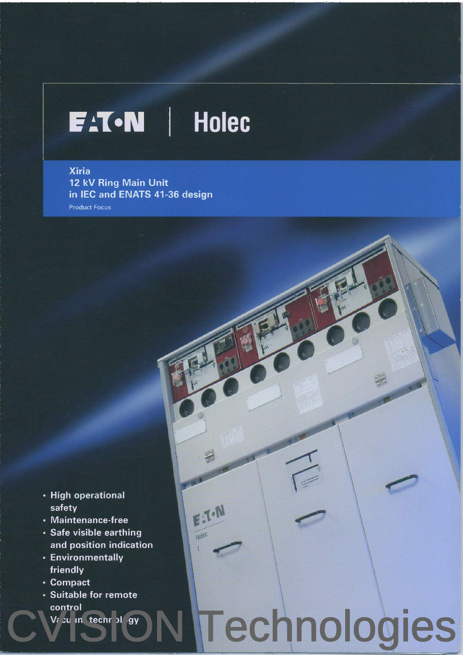### **EAT-N** Holec

**Xiria** 12 kV Ring Main Unit in IEC and ENATS 41-36 design **Product Focus** 

- High operational safety
- Maintenance-free
- · Safe visible earthing and position indication

EXTON

Technologies

Holec

- Environmentally friendly
- Compact
- Suitable for remote control
	- Vr cu in techn of gy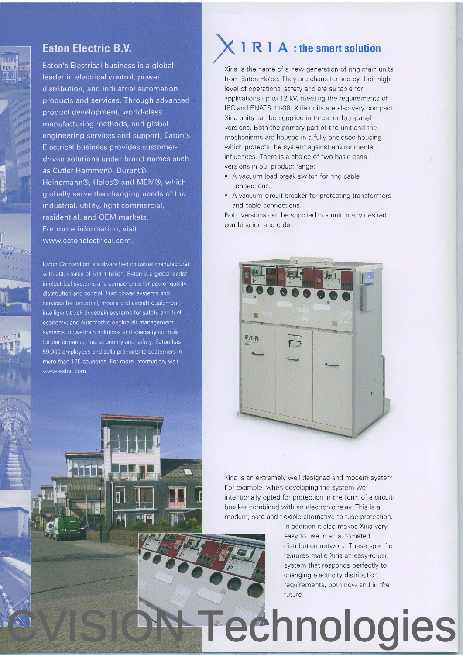

#### **Eaton Electric B.V.**

Eaton's Electrical business is a global leader in electrical control, power distribution, and industrial automation products and services. Through advanced product development, world-class manufacturing methods, and global engineering services and support, Eaton's Electrical business provides customerdriven solutions under brand names such as Cutler-Hammer®, Durant®, Heinemann®, Holec® and MEM®, which globally serve the changing needs of the industrial, utility, light commercial, residential, and OEM markets. For more information, visit www.eatonelectrical.com.

Eaton Corporation is a diversified industrial manufacturer with 2005 sales of \$11.1 billion. Eaton is a global leader in electrical systems and components for power quality, distribution and control; fluid power systems and services for industrial, mobile and aircraft equipment; intelligent truck drivetrain systems for safety and fuel economy; and automotive engine air management systems, powertrain solutions and specialty controls for performance, fuel economy and safety. Eaton has 59,000 employees and sells products to customers in more than 125 countries. For more information, visit www.eaton.com

**ul s Tu** 

### **I R I A : the smart solution**

Xiria is the name of a new generation of ring main units from Eaton Holec. They are characterised by their high level of operational safety and are suitable for applications up to 12 kV, meeting the requirements of IEC and ENATS 41-36. Xiria units are also very compact Xiria units can be supplied in three- or four-panel versions. Both the primary part of the unit and the mechanisms are housed in a fully enclosed housing which protects the system against environmental influences. There is a choice of two basic panel versions in our product range:

- . A vacuum load break switch for rinq cable connections.
- . A vacuum circuit-breaker for protecting transformers and cable connections.

Both versions can be supplied in a unit in any desired combination and order.



Xiria is an extremely well designed and modern system. For example, when developing the system we intentionally opted for protection in the form of a circuitbreaker combined with an electronic relay. This is a modern, safe and flexible alternative to fuse protection.

> ln addition it also makes Xiria very easy to use in an automated distribution network. These specific features make Xiria an easy-to-use system that responds perfectly to changing electricity distribution requirements, both now and in the future.

## Technologies